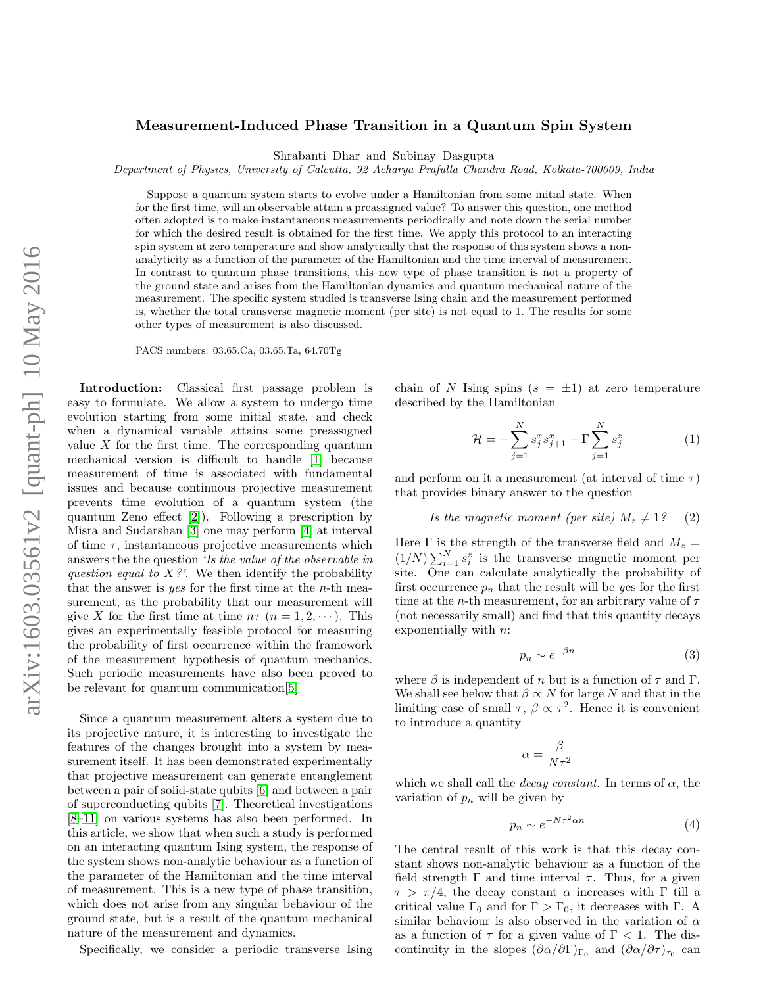## Measurement-Induced Phase Transition in a Quantum Spin System

Shrabanti Dhar and Subinay Dasgupta

Department of Physics, University of Calcutta, 92 Acharya Prafulla Chandra Road, Kolkata-700009, India

Suppose a quantum system starts to evolve under a Hamiltonian from some initial state. When for the first time, will an observable attain a preassigned value? To answer this question, one method often adopted is to make instantaneous measurements periodically and note down the serial number for which the desired result is obtained for the first time. We apply this protocol to an interacting spin system at zero temperature and show analytically that the response of this system shows a nonanalyticity as a function of the parameter of the Hamiltonian and the time interval of measurement. In contrast to quantum phase transitions, this new type of phase transition is not a property of the ground state and arises from the Hamiltonian dynamics and quantum mechanical nature of the measurement. The specific system studied is transverse Ising chain and the measurement performed is, whether the total transverse magnetic moment (per site) is not equal to 1. The results for some other types of measurement is also discussed.

PACS numbers: 03.65.Ca, 03.65.Ta, 64.70Tg

Introduction: Classical first passage problem is easy to formulate. We allow a system to undergo time evolution starting from some initial state, and check when a dynamical variable attains some preassigned value  $X$  for the first time. The corresponding quantum mechanical version is difficult to handle [\[1\]](#page-4-0) because measurement of time is associated with fundamental issues and because continuous projective measurement prevents time evolution of a quantum system (the quantum Zeno effect [\[2\]](#page-4-1)). Following a prescription by Misra and Sudarshan [\[3\]](#page-4-2) one may perform [\[4\]](#page-4-3) at interval of time  $\tau$ , instantaneous projective measurements which answers the the question 'Is the value of the observable in question equal to  $X$ ?'. We then identify the probability that the answer is yes for the first time at the n-th measurement, as the probability that our measurement will give X for the first time at time  $n\tau$   $(n = 1, 2, \dots)$ . This gives an experimentally feasible protocol for measuring the probability of first occurrence within the framework of the measurement hypothesis of quantum mechanics. Such periodic measurements have also been proved to be relevant for quantum communication[\[5\]](#page-4-4)

Since a quantum measurement alters a system due to its projective nature, it is interesting to investigate the features of the changes brought into a system by measurement itself. It has been demonstrated experimentally that projective measurement can generate entanglement between a pair of solid-state qubits [\[6\]](#page-4-5) and between a pair of superconducting qubits [\[7\]](#page-4-6). Theoretical investigations [\[8–](#page-4-7)[11\]](#page-4-8) on various systems has also been performed. In this article, we show that when such a study is performed on an interacting quantum Ising system, the response of the system shows non-analytic behaviour as a function of the parameter of the Hamiltonian and the time interval of measurement. This is a new type of phase transition, which does not arise from any singular behaviour of the ground state, but is a result of the quantum mechanical nature of the measurement and dynamics.

Specifically, we consider a periodic transverse Ising

chain of N Ising spins  $(s = \pm 1)$  at zero temperature described by the Hamiltonian

<span id="page-0-1"></span>
$$
\mathcal{H} = -\sum_{j=1}^{N} s_j^x s_{j+1}^x - \Gamma \sum_{j=1}^{N} s_j^z \tag{1}
$$

and perform on it a measurement (at interval of time  $\tau$ ) that provides binary answer to the question

## <span id="page-0-0"></span>Is the magnetic moment (per site)  $M_z \neq 1$ ? (2)

Here  $\Gamma$  is the strength of the transverse field and  $M_z =$  $(1/N)\sum_{i=1}^{N} s_i^z$  is the transverse magnetic moment per site. One can calculate analytically the probability of first occurrence  $p_n$  that the result will be yes for the first time at the *n*-th measurement, for an arbitrary value of  $\tau$ (not necessarily small) and find that this quantity decays exponentially with n:

<span id="page-0-3"></span>
$$
p_n \sim e^{-\beta n} \tag{3}
$$

where  $\beta$  is independent of n but is a function of  $\tau$  and  $\Gamma$ . We shall see below that  $\beta \propto N$  for large N and that in the limiting case of small  $\tau$ ,  $\beta \propto \tau^2$ . Hence it is convenient to introduce a quantity

$$
\alpha = \frac{\beta}{N\tau^2}
$$

which we shall call the *decay constant*. In terms of  $\alpha$ , the variation of  $p_n$  will be given by

<span id="page-0-2"></span>
$$
p_n \sim e^{-N\tau^2 \alpha n} \tag{4}
$$

The central result of this work is that this decay constant shows non-analytic behaviour as a function of the field strength  $\Gamma$  and time interval  $\tau$ . Thus, for a given  $\tau > \pi/4$ , the decay constant  $\alpha$  increases with  $\Gamma$  till a critical value  $\Gamma_0$  and for  $\Gamma > \Gamma_0$ , it decreases with  $\Gamma$ . A similar behaviour is also observed in the variation of  $\alpha$ as a function of  $\tau$  for a given value of  $\Gamma$  < 1. The discontinuity in the slopes  $(\partial \alpha/\partial \Gamma)_{\Gamma_0}$  and  $(\partial \alpha/\partial \tau)_{\tau_0}$  can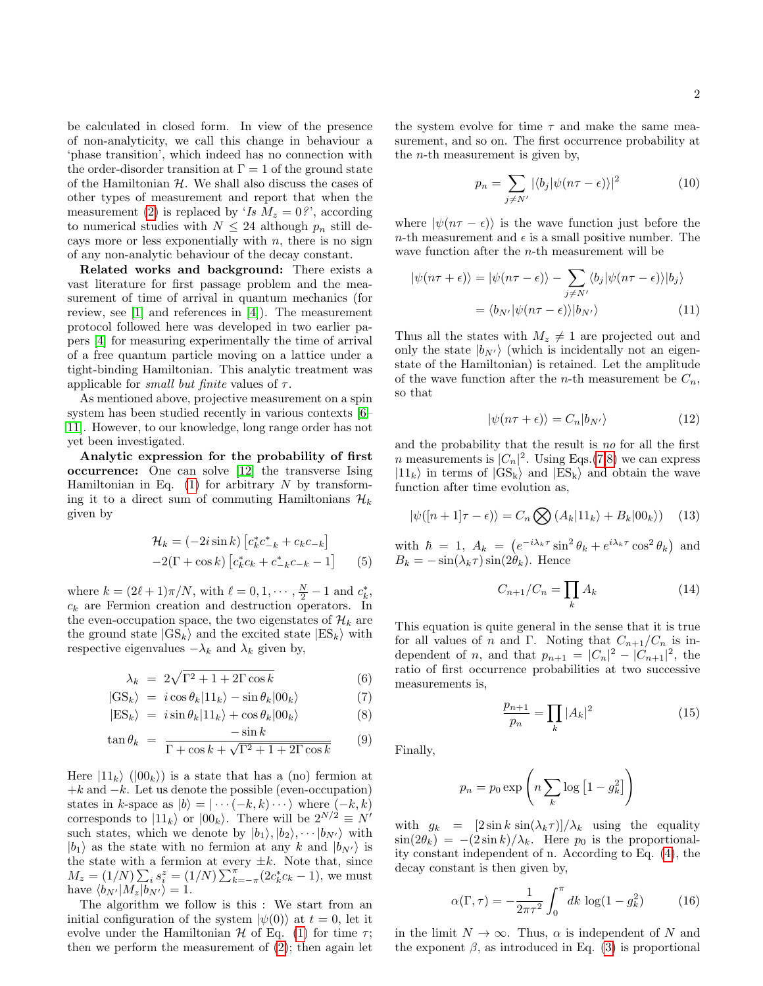be calculated in closed form. In view of the presence of non-analyticity, we call this change in behaviour a 'phase transition', which indeed has no connection with the order-disorder transition at  $\Gamma = 1$  of the ground state of the Hamiltonian  $H$ . We shall also discuss the cases of other types of measurement and report that when the measurement [\(2\)](#page-0-0) is replaced by 'Is  $M_z = 0$ ?', according to numerical studies with  $N \leq 24$  although  $p_n$  still decays more or less exponentially with  $n$ , there is no sign of any non-analytic behaviour of the decay constant.

Related works and background: There exists a vast literature for first passage problem and the measurement of time of arrival in quantum mechanics (for review, see [\[1\]](#page-4-0) and references in [\[4\]](#page-4-3)). The measurement protocol followed here was developed in two earlier papers [\[4\]](#page-4-3) for measuring experimentally the time of arrival of a free quantum particle moving on a lattice under a tight-binding Hamiltonian. This analytic treatment was applicable for *small but finite* values of  $\tau$ .

As mentioned above, projective measurement on a spin system has been studied recently in various contexts [\[6–](#page-4-5) [11\]](#page-4-8). However, to our knowledge, long range order has not yet been investigated.

Analytic expression for the probability of first occurrence: One can solve [\[12\]](#page-4-9) the transverse Ising Hamiltonian in Eq.  $(1)$  for arbitrary N by transforming it to a direct sum of commuting Hamiltonians  $\mathcal{H}_k$ given by

$$
\mathcal{H}_k = (-2i\sin k) \left[ c_k^* c_{-k}^* + c_k c_{-k} \right] \n-2(\Gamma + \cos k) \left[ c_k^* c_k + c_{-k}^* c_{-k} - 1 \right] \tag{5}
$$

where  $k = (2\ell + 1)\pi/N$ , with  $\ell = 0, 1, \cdots, \frac{N}{2} - 1$  and  $c_k^*$ ,  $c_k$  are Fermion creation and destruction operators. In the even-occupation space, the two eigenstates of  $\mathcal{H}_k$  are the ground state  $|GS_k\rangle$  and the excited state  $|ES_k\rangle$  with respective eigenvalues  $-\lambda_k$  and  $\lambda_k$  given by,

<span id="page-1-0"></span>
$$
\lambda_k = 2\sqrt{\Gamma^2 + 1 + 2\Gamma\cos k} \tag{6}
$$

$$
|GS_k\rangle = i\cos\theta_k|11_k\rangle - \sin\theta_k|00_k\rangle \tag{7}
$$

$$
|\text{ES}_k\rangle = i \sin \theta_k |11_k\rangle + \cos \theta_k |00_k\rangle \tag{8}
$$

$$
\tan \theta_k = \frac{-\sin k}{\Gamma + \cos k + \sqrt{\Gamma^2 + 1 + 2\Gamma \cos k}} \qquad (9)
$$

Here  $|11_k\rangle$  ( $|00_k\rangle$ ) is a state that has a (no) fermion at  $+k$  and  $-k$ . Let us denote the possible (even-occupation) states in k-space as  $|b\rangle = | \cdots (-k, k) \cdots \rangle$  where  $(-k, k)$ corresponds to  $|11_k\rangle$  or  $|00_k\rangle$ . There will be  $2^{N/2} \equiv N'$ such states, which we denote by  $|b_1\rangle, |b_2\rangle, \cdots, |b_{N'}\rangle$  with  $|b_1\rangle$  as the state with no fermion at any k and  $|b_{N'}\rangle$  is the state with a fermion at every  $\pm k$ . Note that, since  $M_z = (1/N) \sum_i s_i^z = (1/N) \sum_{k=-\pi}^{\pi} (2c_k^* c_k - 1)$ , we must have  $\langle b_{N'}|M_z|\tilde{b}_{N'}\rangle = 1.$ 

The algorithm we follow is this : We start from an initial configuration of the system  $|\psi(0)\rangle$  at  $t = 0$ , let it evolve under the Hamiltonian  $\mathcal H$  of Eq. [\(1\)](#page-0-1) for time  $\tau$ ; then we perform the measurement of  $(2)$ ; then again let

the system evolve for time  $\tau$  and make the same measurement, and so on. The first occurrence probability at the *n*-th measurement is given by,

$$
p_n = \sum_{j \neq N'} |\langle b_j | \psi(n\tau - \epsilon) \rangle|^2 \tag{10}
$$

where  $|\psi(n\tau - \epsilon)\rangle$  is the wave function just before the *n*-th measurement and  $\epsilon$  is a small positive number. The wave function after the  $n$ -th measurement will be

$$
|\psi(n\tau + \epsilon)\rangle = |\psi(n\tau - \epsilon)\rangle - \sum_{j \neq N'} \langle b_j | \psi(n\tau - \epsilon) \rangle | b_j \rangle
$$

$$
= \langle b_{N'} | \psi(n\tau - \epsilon) \rangle | b_{N'} \rangle \tag{11}
$$

Thus all the states with  $M_z \neq 1$  are projected out and only the state  $|b_{N'}\rangle$  (which is incidentally not an eigenstate of the Hamiltonian) is retained. Let the amplitude of the wave function after the *n*-th measurement be  $C_n$ , so that

<span id="page-1-5"></span><span id="page-1-4"></span>
$$
|\psi(n\tau + \epsilon)\rangle = C_n|b_{N'}\rangle \tag{12}
$$

and the probability that the result is no for all the first *n* measurements is  $|C_n|^2$ . Using Eqs.[\(7,8\)](#page-1-0) we can express  $|11_k\rangle$  in terms of  $|GS_k\rangle$  and  $|ES_k\rangle$  and obtain the wave function after time evolution as,

<span id="page-1-2"></span>
$$
|\psi([n+1]\tau - \epsilon)\rangle = C_n \bigotimes (A_k|11_k\rangle + B_k|00_k\rangle) \quad (13)
$$

with  $\hbar = 1$ ,  $A_k = (e^{-i\lambda_k \tau} \sin^2 \theta_k + e^{i\lambda_k \tau} \cos^2 \theta_k)$  and  $B_k = -\sin(\lambda_k \tau) \sin(2\theta_k)$ . Hence

<span id="page-1-6"></span>
$$
C_{n+1}/C_n = \prod_k A_k \tag{14}
$$

This equation is quite general in the sense that it is true for all values of n and Γ. Noting that  $C_{n+1}/C_n$  is independent of *n*, and that  $p_{n+1} = |C_n|^2 - |C_{n+1}|^2$ , the ratio of first occurrence probabilities at two successive measurements is,

<span id="page-1-3"></span>
$$
\frac{p_{n+1}}{p_n} = \prod_k |A_k|^2 \tag{15}
$$

Finally,

$$
p_n = p_0 \exp\left(n \sum_k \log\left[1 - g_k^2\right]\right)
$$

with  $g_k = \left[2 \sin k \sin(\lambda_k \tau)\right] / \lambda_k$  using the equality  $\sin(2\theta_k) = -(2\sin k)/\lambda_k$ . Here  $p_0$  is the proportionality constant independent of n. According to Eq. [\(4\)](#page-0-2), the decay constant is then given by,

<span id="page-1-1"></span>
$$
\alpha(\Gamma, \tau) = -\frac{1}{2\pi\tau^2} \int_0^{\pi} dk \, \log(1 - g_k^2) \tag{16}
$$

in the limit  $N \to \infty$ . Thus,  $\alpha$  is independent of N and the exponent  $\beta$ , as introduced in Eq. [\(3\)](#page-0-3) is proportional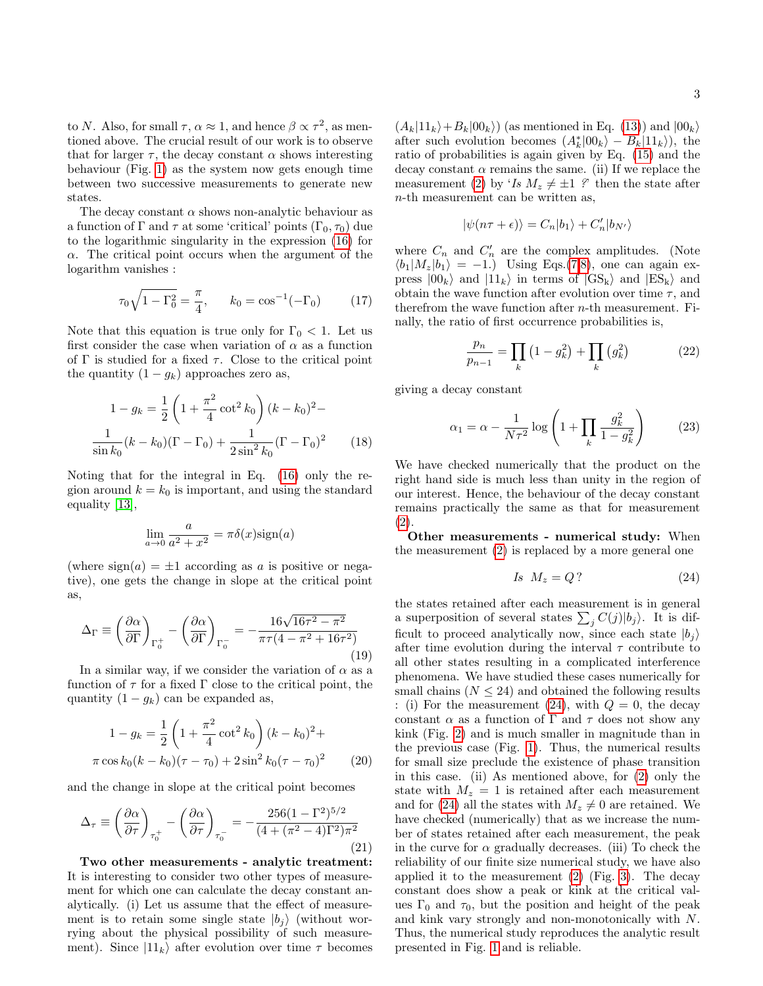to N. Also, for small  $\tau$ ,  $\alpha \approx 1$ , and hence  $\beta \propto \tau^2$ , as mentioned above. The crucial result of our work is to observe that for larger  $\tau$ , the decay constant  $\alpha$  shows interesting behaviour (Fig. [1\)](#page-3-0) as the system now gets enough time between two successive measurements to generate new states.

The decay constant  $\alpha$  shows non-analytic behaviour as a function of  $\Gamma$  and  $\tau$  at some 'critical' points  $(\Gamma_0, \tau_0)$  due to the logarithmic singularity in the expression [\(16\)](#page-1-1) for  $\alpha$ . The critical point occurs when the argument of the logarithm vanishes :

$$
\tau_0 \sqrt{1 - \Gamma_0^2} = \frac{\pi}{4}, \qquad k_0 = \cos^{-1}(-\Gamma_0) \tag{17}
$$

Note that this equation is true only for  $\Gamma_0 < 1$ . Let us first consider the case when variation of  $\alpha$  as a function of  $\Gamma$  is studied for a fixed  $\tau$ . Close to the critical point the quantity  $(1 - g_k)$  approaches zero as,

$$
1 - g_k = \frac{1}{2} \left( 1 + \frac{\pi^2}{4} \cot^2 k_0 \right) (k - k_0)^2 -
$$
  

$$
\frac{1}{\sin k_0} (k - k_0)(\Gamma - \Gamma_0) + \frac{1}{2 \sin^2 k_0} (\Gamma - \Gamma_0)^2
$$
 (18)

Noting that for the integral in Eq. [\(16\)](#page-1-1) only the region around  $k = k_0$  is important, and using the standard equality [\[13\]](#page-4-10),

$$
\lim_{a \to 0} \frac{a}{a^2 + x^2} = \pi \delta(x) \text{sign}(a)
$$

(where  $sign(a) = \pm 1$  according as a is positive or negative), one gets the change in slope at the critical point as,

$$
\Delta_{\Gamma} \equiv \left(\frac{\partial \alpha}{\partial \Gamma}\right)_{\Gamma_{0}^{+}} - \left(\frac{\partial \alpha}{\partial \Gamma}\right)_{\Gamma_{0}^{-}} = -\frac{16\sqrt{16\tau^{2} - \pi^{2}}}{\pi \tau (4 - \pi^{2} + 16\tau^{2})}
$$
\n(19)

In a similar way, if we consider the variation of  $\alpha$  as a function of  $\tau$  for a fixed  $\Gamma$  close to the critical point, the quantity  $(1 - g_k)$  can be expanded as,

$$
1 - g_k = \frac{1}{2} \left( 1 + \frac{\pi^2}{4} \cot^2 k_0 \right) (k - k_0)^2 +
$$
  

$$
\pi \cos k_0 (k - k_0)(\tau - \tau_0) + 2 \sin^2 k_0 (\tau - \tau_0)^2 \qquad (20)
$$

and the change in slope at the critical point becomes

$$
\Delta_{\tau} \equiv \left(\frac{\partial \alpha}{\partial \tau}\right)_{\tau_0^+} - \left(\frac{\partial \alpha}{\partial \tau}\right)_{\tau_0^-} = -\frac{256(1-\Gamma^2)^{5/2}}{(4+(\pi^2-4)\Gamma^2)\pi^2}
$$
\n(21)

Two other measurements - analytic treatment: It is interesting to consider two other types of measurement for which one can calculate the decay constant analytically. (i) Let us assume that the effect of measurement is to retain some single state  $|b_i\rangle$  (without worrying about the physical possibility of such measurement). Since  $|11_k\rangle$  after evolution over time  $\tau$  becomes

 $(A_k|11_k\rangle+B_k|00_k\rangle)$  (as mentioned in Eq. [\(13\)](#page-1-2)) and  $|00_k\rangle$ after such evolution becomes  $(A_k^*|00_k\rangle - B_k|11_k\rangle)$ , the ratio of probabilities is again given by Eq. [\(15\)](#page-1-3) and the decay constant  $\alpha$  remains the same. (ii) If we replace the measurement [\(2\)](#page-0-0) by 'Is  $M_z \neq \pm 1$  ?' then the state after n-th measurement can be written as,

$$
|\psi(n\tau+\epsilon)\rangle=C_n|b_1\rangle+C'_n|b_{N'}\rangle
$$

where  $C_n$  and  $C'_n$  are the complex amplitudes. (Note  $\langle b_1|M_z|b_1 \rangle = -1.$ ) Using Eqs.[\(7,8\)](#page-1-0), one can again express  $|00_k\rangle$  and  $|11_k\rangle$  in terms of  $|GS_k\rangle$  and  $|ES_k\rangle$  and obtain the wave function after evolution over time  $\tau$ , and therefrom the wave function after  $n$ -th measurement. Finally, the ratio of first occurrence probabilities is,

$$
\frac{p_n}{p_{n-1}} = \prod_k (1 - g_k^2) + \prod_k (g_k^2)
$$
 (22)

giving a decay constant

$$
\alpha_1 = \alpha - \frac{1}{N\tau^2} \log \left( 1 + \prod_k \frac{g_k^2}{1 - g_k^2} \right) \tag{23}
$$

We have checked numerically that the product on the right hand side is much less than unity in the region of our interest. Hence, the behaviour of the decay constant remains practically the same as that for measurement [\(2\)](#page-0-0).

Other measurements - numerical study: When the measurement [\(2\)](#page-0-0) is replaced by a more general one

<span id="page-2-0"></span>
$$
Is \t M_z = Q ? \t(24)
$$

the states retained after each measurement is in general a superposition of several states  $\sum_j C(j)|b_j\rangle$ . It is difficult to proceed analytically now, since each state  $|b_i\rangle$ after time evolution during the interval  $\tau$  contribute to all other states resulting in a complicated interference phenomena. We have studied these cases numerically for small chains ( $N \leq 24$ ) and obtained the following results : (i) For the measurement [\(24\)](#page-2-0), with  $Q = 0$ , the decay constant  $\alpha$  as a function of  $\Gamma$  and  $\tau$  does not show any kink (Fig. [2\)](#page-3-1) and is much smaller in magnitude than in the previous case (Fig. [1\)](#page-3-0). Thus, the numerical results for small size preclude the existence of phase transition in this case. (ii) As mentioned above, for [\(2\)](#page-0-0) only the state with  $M_z = 1$  is retained after each measurement and for [\(24\)](#page-2-0) all the states with  $M_z \neq 0$  are retained. We have checked (numerically) that as we increase the number of states retained after each measurement, the peak in the curve for  $\alpha$  gradually decreases. (iii) To check the reliability of our finite size numerical study, we have also applied it to the measurement [\(2\)](#page-0-0) (Fig. [3\)](#page-4-11). The decay constant does show a peak or kink at the critical values  $\Gamma_0$  and  $\tau_0$ , but the position and height of the peak and kink vary strongly and non-monotonically with N. Thus, the numerical study reproduces the analytic result presented in Fig. [1](#page-3-0) and is reliable.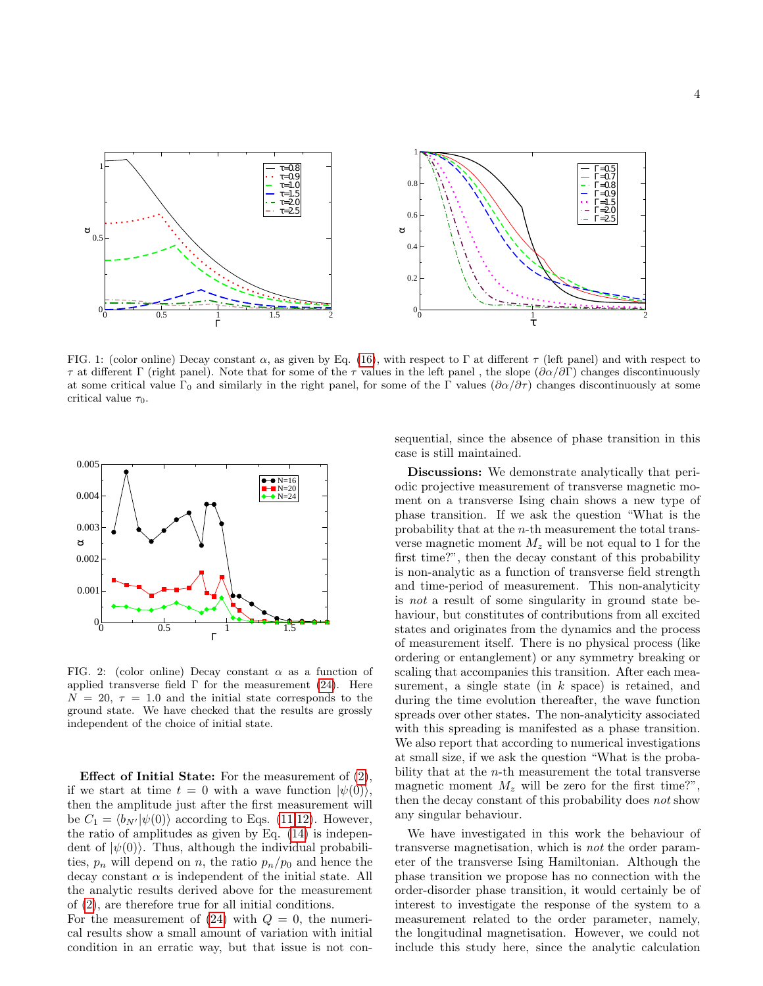

<span id="page-3-0"></span>FIG. 1: (color online) Decay constant  $\alpha$ , as given by Eq. [\(16\)](#page-1-1), with respect to  $\Gamma$  at different  $\tau$  (left panel) and with respect to τ at different Γ (right panel). Note that for some of the τ values in the left panel , the slope (∂α/∂Γ) changes discontinuously at some critical value  $\Gamma_0$  and similarly in the right panel, for some of the Γ values  $(\partial \alpha/\partial \tau)$  changes discontinuously at some critical value  $\tau_0$ .



<span id="page-3-1"></span>FIG. 2: (color online) Decay constant  $\alpha$  as a function of applied transverse field  $\Gamma$  for the measurement [\(24\)](#page-2-0). Here  $N = 20, \tau = 1.0$  and the initial state corresponds to the ground state. We have checked that the results are grossly independent of the choice of initial state.

Effect of Initial State: For the measurement of [\(2\)](#page-0-0), if we start at time  $t = 0$  with a wave function  $|\psi(0)\rangle$ , then the amplitude just after the first measurement will be  $C_1 = \langle b_{N'} | \psi(0) \rangle$  according to Eqs. [\(11](#page-1-4)[,12\)](#page-1-5). However, the ratio of amplitudes as given by Eq. [\(14\)](#page-1-6) is independent of  $|\psi(0)\rangle$ . Thus, although the individual probabilities,  $p_n$  will depend on n, the ratio  $p_n/p_0$  and hence the decay constant  $\alpha$  is independent of the initial state. All the analytic results derived above for the measurement of [\(2\)](#page-0-0), are therefore true for all initial conditions.

For the measurement of  $(24)$  with  $Q = 0$ , the numerical results show a small amount of variation with initial condition in an erratic way, but that issue is not consequential, since the absence of phase transition in this case is still maintained.

Discussions: We demonstrate analytically that periodic projective measurement of transverse magnetic moment on a transverse Ising chain shows a new type of phase transition. If we ask the question "What is the probability that at the n-th measurement the total transverse magnetic moment  $M_z$  will be not equal to 1 for the first time?", then the decay constant of this probability is non-analytic as a function of transverse field strength and time-period of measurement. This non-analyticity is not a result of some singularity in ground state behaviour, but constitutes of contributions from all excited states and originates from the dynamics and the process of measurement itself. There is no physical process (like ordering or entanglement) or any symmetry breaking or scaling that accompanies this transition. After each measurement, a single state (in k space) is retained, and during the time evolution thereafter, the wave function spreads over other states. The non-analyticity associated with this spreading is manifested as a phase transition. We also report that according to numerical investigations at small size, if we ask the question "What is the probability that at the n-th measurement the total transverse magnetic moment  $M_z$  will be zero for the first time?", then the decay constant of this probability does not show any singular behaviour.

We have investigated in this work the behaviour of transverse magnetisation, which is not the order parameter of the transverse Ising Hamiltonian. Although the phase transition we propose has no connection with the order-disorder phase transition, it would certainly be of interest to investigate the response of the system to a measurement related to the order parameter, namely, the longitudinal magnetisation. However, we could not include this study here, since the analytic calculation